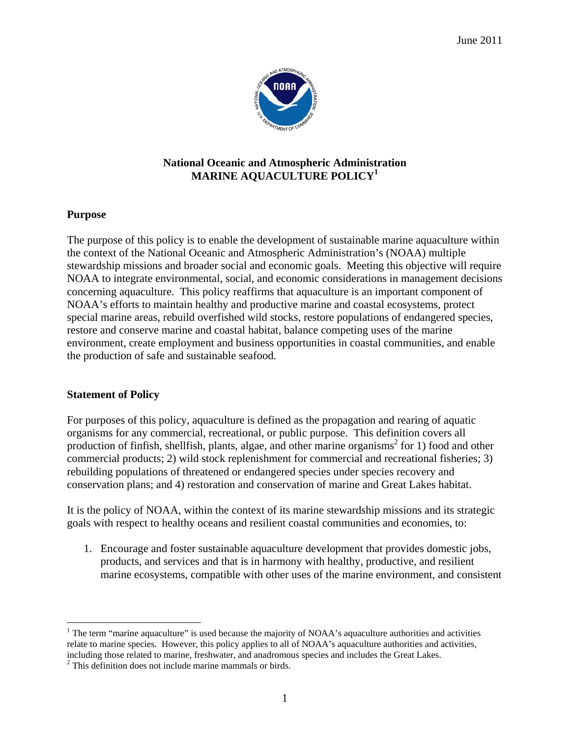

## **National Oceanic and Atmospheric Administration MARINE AQUACULTURE POLICY<sup>1</sup>**

### **Purpose**

The purpose of this policy is to enable the development of sustainable marine aquaculture within the context of the National Oceanic and Atmospheric Administration's (NOAA) multiple stewardship missions and broader social and economic goals. Meeting this objective will require NOAA to integrate environmental, social, and economic considerations in management decisions concerning aquaculture. This policy reaffirms that aquaculture is an important component of NOAA's efforts to maintain healthy and productive marine and coastal ecosystems, protect special marine areas, rebuild overfished wild stocks, restore populations of endangered species, restore and conserve marine and coastal habitat, balance competing uses of the marine environment, create employment and business opportunities in coastal communities, and enable the production of safe and sustainable seafood.

# **Statement of Policy**

 $\overline{a}$ 

For purposes of this policy, aquaculture is defined as the propagation and rearing of aquatic organisms for any commercial, recreational, or public purpose. This definition covers all production of finfish, shellfish, plants, algae, and other marine organisms<sup>2</sup> for 1) food and other commercial products; 2) wild stock replenishment for commercial and recreational fisheries; 3) rebuilding populations of threatened or endangered species under species recovery and conservation plans; and 4) restoration and conservation of marine and Great Lakes habitat.

It is the policy of NOAA, within the context of its marine stewardship missions and its strategic goals with respect to healthy oceans and resilient coastal communities and economies, to:

1. Encourage and foster sustainable aquaculture development that provides domestic jobs, products, and services and that is in harmony with healthy, productive, and resilient marine ecosystems, compatible with other uses of the marine environment, and consistent

<sup>&</sup>lt;sup>1</sup> The term "marine aquaculture" is used because the majority of NOAA's aquaculture authorities and activities relate to marine species. However, this policy applies to all of NOAA's aquaculture authorities and activities, including those related to marine, freshwater, and anadromous species and includes the Great Lakes.

<sup>&</sup>lt;sup>2</sup> This definition does not include marine mammals or birds.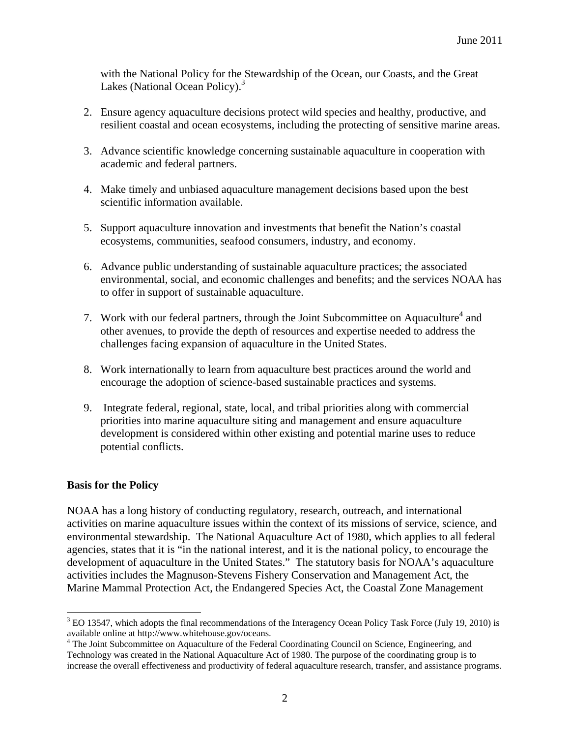with the National Policy for the Stewardship of the Ocean, our Coasts, and the Great Lakes (National Ocean Policy).<sup>3</sup>

- 2. Ensure agency aquaculture decisions protect wild species and healthy, productive, and resilient coastal and ocean ecosystems, including the protecting of sensitive marine areas.
- 3. Advance scientific knowledge concerning sustainable aquaculture in cooperation with academic and federal partners.
- 4. Make timely and unbiased aquaculture management decisions based upon the best scientific information available.
- 5. Support aquaculture innovation and investments that benefit the Nation's coastal ecosystems, communities, seafood consumers, industry, and economy.
- 6. Advance public understanding of sustainable aquaculture practices; the associated environmental, social, and economic challenges and benefits; and the services NOAA has to offer in support of sustainable aquaculture.
- 7. Work with our federal partners, through the Joint Subcommittee on Aquaculture<sup>4</sup> and other avenues, to provide the depth of resources and expertise needed to address the challenges facing expansion of aquaculture in the United States.
- 8. Work internationally to learn from aquaculture best practices around the world and encourage the adoption of science-based sustainable practices and systems.
- 9. Integrate federal, regional, state, local, and tribal priorities along with commercial priorities into marine aquaculture siting and management and ensure aquaculture development is considered within other existing and potential marine uses to reduce potential conflicts.

### **Basis for the Policy**

 $\overline{a}$ 

NOAA has a long history of conducting regulatory, research, outreach, and international activities on marine aquaculture issues within the context of its missions of service, science, and environmental stewardship. The National Aquaculture Act of 1980, which applies to all federal agencies, states that it is "in the national interest, and it is the national policy, to encourage the development of aquaculture in the United States." The statutory basis for NOAA's aquaculture activities includes the Magnuson-Stevens Fishery Conservation and Management Act, the Marine Mammal Protection Act, the Endangered Species Act, the Coastal Zone Management

 $3$  EO 13547, which adopts the final recommendations of the Interagency Ocean Policy Task Force (July 19, 2010) is available online at http://www.whitehouse.gov/oceans.

<sup>&</sup>lt;sup>4</sup> The Joint Subcommittee on Aquaculture of the Federal Coordinating Council on Science, Engineering, and Technology was created in the National Aquaculture Act of 1980. The purpose of the coordinating group is to increase the overall effectiveness and productivity of federal aquaculture research, transfer, and assistance programs.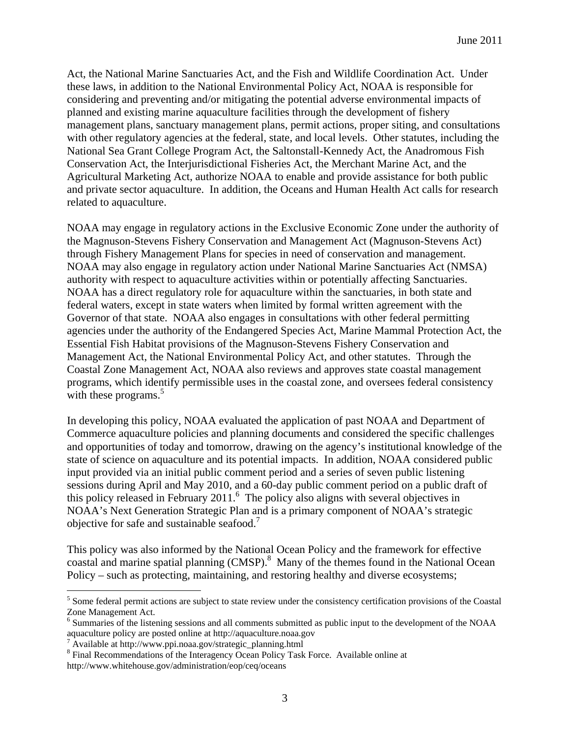Act, the National Marine Sanctuaries Act, and the Fish and Wildlife Coordination Act. Under these laws, in addition to the National Environmental Policy Act, NOAA is responsible for considering and preventing and/or mitigating the potential adverse environmental impacts of planned and existing marine aquaculture facilities through the development of fishery management plans, sanctuary management plans, permit actions, proper siting, and consultations with other regulatory agencies at the federal, state, and local levels. Other statutes, including the National Sea Grant College Program Act, the Saltonstall-Kennedy Act, the Anadromous Fish Conservation Act, the Interjurisdictional Fisheries Act, the Merchant Marine Act, and the Agricultural Marketing Act, authorize NOAA to enable and provide assistance for both public and private sector aquaculture. In addition, the Oceans and Human Health Act calls for research related to aquaculture.

NOAA may engage in regulatory actions in the Exclusive Economic Zone under the authority of the Magnuson-Stevens Fishery Conservation and Management Act (Magnuson-Stevens Act) through Fishery Management Plans for species in need of conservation and management. NOAA may also engage in regulatory action under National Marine Sanctuaries Act (NMSA) authority with respect to aquaculture activities within or potentially affecting Sanctuaries. NOAA has a direct regulatory role for aquaculture within the sanctuaries, in both state and federal waters, except in state waters when limited by formal written agreement with the Governor of that state. NOAA also engages in consultations with other federal permitting agencies under the authority of the Endangered Species Act, Marine Mammal Protection Act, the Essential Fish Habitat provisions of the Magnuson-Stevens Fishery Conservation and Management Act, the National Environmental Policy Act, and other statutes. Through the Coastal Zone Management Act, NOAA also reviews and approves state coastal management programs, which identify permissible uses in the coastal zone, and oversees federal consistency with these programs. $5$ 

In developing this policy, NOAA evaluated the application of past NOAA and Department of Commerce aquaculture policies and planning documents and considered the specific challenges and opportunities of today and tomorrow, drawing on the agency's institutional knowledge of the state of science on aquaculture and its potential impacts. In addition, NOAA considered public input provided via an initial public comment period and a series of seven public listening sessions during April and May 2010, and a 60-day public comment period on a public draft of this policy released in February 2011.<sup>6</sup> The policy also aligns with several objectives in NOAA's Next Generation Strategic Plan and is a primary component of NOAA's strategic objective for safe and sustainable seafood.7

This policy was also informed by the National Ocean Policy and the framework for effective coastal and marine spatial planning (CMSP).<sup>8</sup> Many of the themes found in the National Ocean Policy – such as protecting, maintaining, and restoring healthy and diverse ecosystems;

 $\overline{a}$ 

 $<sup>5</sup>$  Some federal permit actions are subject to state review under the consistency certification provisions of the Coastal</sup> Zone Management Act.

<sup>&</sup>lt;sup>6</sup> Summaries of the listening sessions and all comments submitted as public input to the development of the NOAA aquaculture policy are posted online at http://aquaculture.noaa.gov

<sup>&</sup>lt;sup>7</sup> Available at http://www.ppi.noaa.gov/strategic\_planning.html

<sup>&</sup>lt;sup>8</sup> Final Recommendations of the Interagency Ocean Policy Task Force. Available online at http://www.whitehouse.gov/administration/eop/ceq/oceans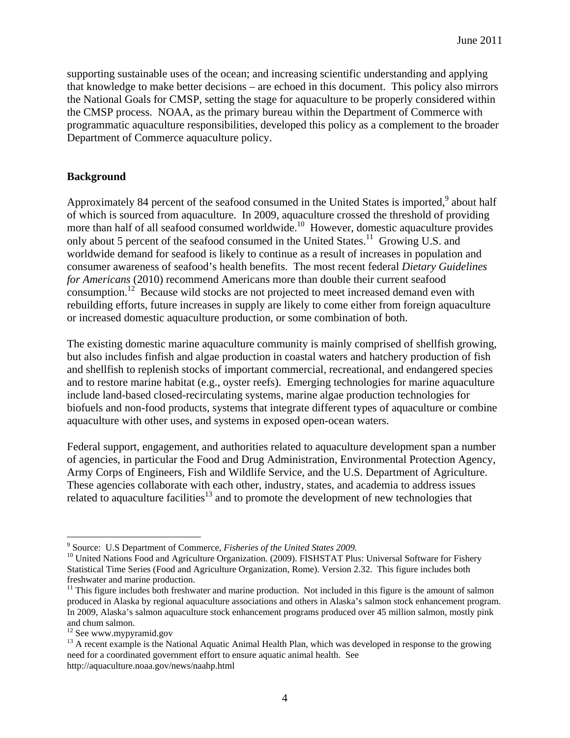supporting sustainable uses of the ocean; and increasing scientific understanding and applying that knowledge to make better decisions – are echoed in this document. This policy also mirrors the National Goals for CMSP, setting the stage for aquaculture to be properly considered within the CMSP process. NOAA, as the primary bureau within the Department of Commerce with programmatic aquaculture responsibilities, developed this policy as a complement to the broader Department of Commerce aquaculture policy.

# **Background**

Approximately 84 percent of the seafood consumed in the United States is imported,<sup>9</sup> about half of which is sourced from aquaculture. In 2009, aquaculture crossed the threshold of providing more than half of all seafood consumed worldwide.<sup>10</sup> However, domestic aquaculture provides only about 5 percent of the seafood consumed in the United States.<sup>11</sup> Growing U.S. and worldwide demand for seafood is likely to continue as a result of increases in population and consumer awareness of seafood's health benefits. The most recent federal *Dietary Guidelines for Americans* (2010) recommend Americans more than double their current seafood consumption.<sup>12</sup> Because wild stocks are not projected to meet increased demand even with rebuilding efforts, future increases in supply are likely to come either from foreign aquaculture or increased domestic aquaculture production, or some combination of both.

The existing domestic marine aquaculture community is mainly comprised of shellfish growing, but also includes finfish and algae production in coastal waters and hatchery production of fish and shellfish to replenish stocks of important commercial, recreational, and endangered species and to restore marine habitat (e.g., oyster reefs). Emerging technologies for marine aquaculture include land-based closed-recirculating systems, marine algae production technologies for biofuels and non-food products, systems that integrate different types of aquaculture or combine aquaculture with other uses, and systems in exposed open-ocean waters.

Federal support, engagement, and authorities related to aquaculture development span a number of agencies, in particular the Food and Drug Administration, Environmental Protection Agency, Army Corps of Engineers, Fish and Wildlife Service, and the U.S. Department of Agriculture. These agencies collaborate with each other, industry, states, and academia to address issues related to aquaculture facilities<sup>13</sup> and to promote the development of new technologies that

1

<sup>&</sup>lt;sup>9</sup> Source: U.S Department of Commerce, *Fisheries of the United States 2009*.

<sup>&</sup>lt;sup>10</sup> United Nations Food and Agriculture Organization. (2009). FISHSTAT Plus: Universal Software for Fishery Statistical Time Series (Food and Agriculture Organization, Rome). Version 2.32. This figure includes both freshwater and marine production.

 $11$  This figure includes both freshwater and marine production. Not included in this figure is the amount of salmon produced in Alaska by regional aquaculture associations and others in Alaska's salmon stock enhancement program. In 2009, Alaska's salmon aquaculture stock enhancement programs produced over 45 million salmon, mostly pink and chum salmon.

<sup>&</sup>lt;sup>12</sup> See www.mypyramid.gov

<sup>&</sup>lt;sup>13</sup> A recent example is the National Aquatic Animal Health Plan, which was developed in response to the growing need for a coordinated government effort to ensure aquatic animal health. See http://aquaculture.noaa.gov/news/naahp.html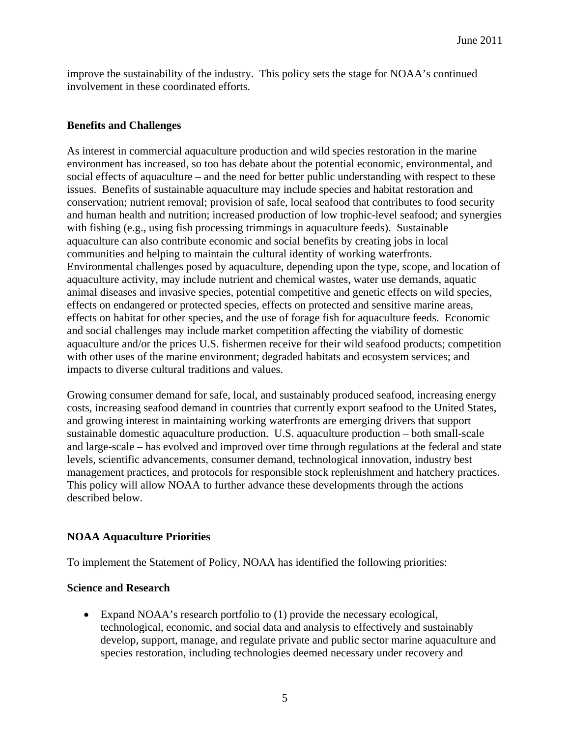improve the sustainability of the industry. This policy sets the stage for NOAA's continued involvement in these coordinated efforts.

### **Benefits and Challenges**

As interest in commercial aquaculture production and wild species restoration in the marine environment has increased, so too has debate about the potential economic, environmental, and social effects of aquaculture – and the need for better public understanding with respect to these issues. Benefits of sustainable aquaculture may include species and habitat restoration and conservation; nutrient removal; provision of safe, local seafood that contributes to food security and human health and nutrition; increased production of low trophic-level seafood; and synergies with fishing (e.g., using fish processing trimmings in aquaculture feeds). Sustainable aquaculture can also contribute economic and social benefits by creating jobs in local communities and helping to maintain the cultural identity of working waterfronts. Environmental challenges posed by aquaculture, depending upon the type, scope, and location of aquaculture activity, may include nutrient and chemical wastes, water use demands, aquatic animal diseases and invasive species, potential competitive and genetic effects on wild species, effects on endangered or protected species, effects on protected and sensitive marine areas, effects on habitat for other species, and the use of forage fish for aquaculture feeds. Economic and social challenges may include market competition affecting the viability of domestic aquaculture and/or the prices U.S. fishermen receive for their wild seafood products; competition with other uses of the marine environment; degraded habitats and ecosystem services; and impacts to diverse cultural traditions and values.

Growing consumer demand for safe, local, and sustainably produced seafood, increasing energy costs, increasing seafood demand in countries that currently export seafood to the United States, and growing interest in maintaining working waterfronts are emerging drivers that support sustainable domestic aquaculture production. U.S. aquaculture production – both small-scale and large-scale – has evolved and improved over time through regulations at the federal and state levels, scientific advancements, consumer demand, technological innovation, industry best management practices, and protocols for responsible stock replenishment and hatchery practices. This policy will allow NOAA to further advance these developments through the actions described below.

# **NOAA Aquaculture Priorities**

To implement the Statement of Policy, NOAA has identified the following priorities:

### **Science and Research**

• Expand NOAA's research portfolio to (1) provide the necessary ecological, technological, economic, and social data and analysis to effectively and sustainably develop, support, manage, and regulate private and public sector marine aquaculture and species restoration, including technologies deemed necessary under recovery and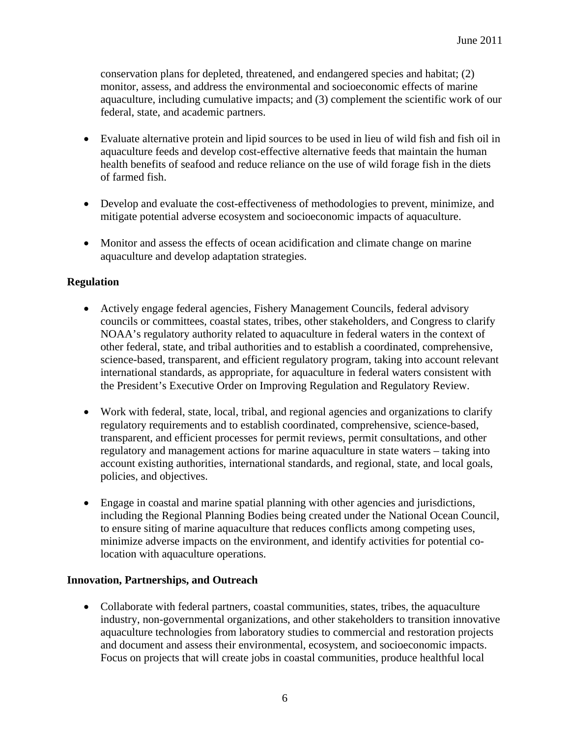conservation plans for depleted, threatened, and endangered species and habitat; (2) monitor, assess, and address the environmental and socioeconomic effects of marine aquaculture, including cumulative impacts; and (3) complement the scientific work of our federal, state, and academic partners.

- Evaluate alternative protein and lipid sources to be used in lieu of wild fish and fish oil in aquaculture feeds and develop cost-effective alternative feeds that maintain the human health benefits of seafood and reduce reliance on the use of wild forage fish in the diets of farmed fish.
- Develop and evaluate the cost-effectiveness of methodologies to prevent, minimize, and mitigate potential adverse ecosystem and socioeconomic impacts of aquaculture.
- Monitor and assess the effects of ocean acidification and climate change on marine aquaculture and develop adaptation strategies.

# **Regulation**

- Actively engage federal agencies, Fishery Management Councils, federal advisory councils or committees, coastal states, tribes, other stakeholders, and Congress to clarify NOAA's regulatory authority related to aquaculture in federal waters in the context of other federal, state, and tribal authorities and to establish a coordinated, comprehensive, science-based, transparent, and efficient regulatory program, taking into account relevant international standards, as appropriate, for aquaculture in federal waters consistent with the President's Executive Order on Improving Regulation and Regulatory Review.
- Work with federal, state, local, tribal, and regional agencies and organizations to clarify regulatory requirements and to establish coordinated, comprehensive, science-based, transparent, and efficient processes for permit reviews, permit consultations, and other regulatory and management actions for marine aquaculture in state waters – taking into account existing authorities, international standards, and regional, state, and local goals, policies, and objectives.
- Engage in coastal and marine spatial planning with other agencies and jurisdictions, including the Regional Planning Bodies being created under the National Ocean Council, to ensure siting of marine aquaculture that reduces conflicts among competing uses, minimize adverse impacts on the environment, and identify activities for potential colocation with aquaculture operations.

# **Innovation, Partnerships, and Outreach**

• Collaborate with federal partners, coastal communities, states, tribes, the aquaculture industry, non-governmental organizations, and other stakeholders to transition innovative aquaculture technologies from laboratory studies to commercial and restoration projects and document and assess their environmental, ecosystem, and socioeconomic impacts. Focus on projects that will create jobs in coastal communities, produce healthful local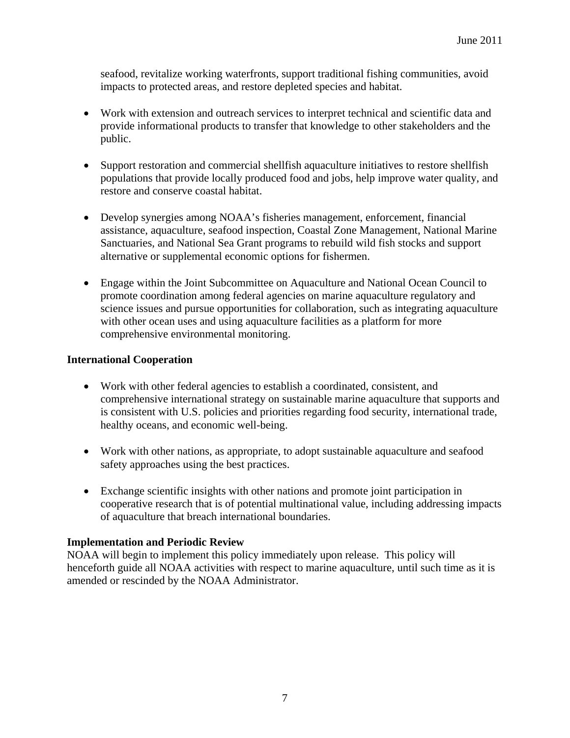seafood, revitalize working waterfronts, support traditional fishing communities, avoid impacts to protected areas, and restore depleted species and habitat.

- Work with extension and outreach services to interpret technical and scientific data and provide informational products to transfer that knowledge to other stakeholders and the public.
- Support restoration and commercial shellfish aquaculture initiatives to restore shellfish populations that provide locally produced food and jobs, help improve water quality, and restore and conserve coastal habitat.
- Develop synergies among NOAA's fisheries management, enforcement, financial assistance, aquaculture, seafood inspection, Coastal Zone Management, National Marine Sanctuaries, and National Sea Grant programs to rebuild wild fish stocks and support alternative or supplemental economic options for fishermen.
- Engage within the Joint Subcommittee on Aquaculture and National Ocean Council to promote coordination among federal agencies on marine aquaculture regulatory and science issues and pursue opportunities for collaboration, such as integrating aquaculture with other ocean uses and using aquaculture facilities as a platform for more comprehensive environmental monitoring.

### **International Cooperation**

- Work with other federal agencies to establish a coordinated, consistent, and comprehensive international strategy on sustainable marine aquaculture that supports and is consistent with U.S. policies and priorities regarding food security, international trade, healthy oceans, and economic well-being.
- Work with other nations, as appropriate, to adopt sustainable aquaculture and seafood safety approaches using the best practices.
- Exchange scientific insights with other nations and promote joint participation in cooperative research that is of potential multinational value, including addressing impacts of aquaculture that breach international boundaries.

# **Implementation and Periodic Review**

NOAA will begin to implement this policy immediately upon release. This policy will henceforth guide all NOAA activities with respect to marine aquaculture, until such time as it is amended or rescinded by the NOAA Administrator.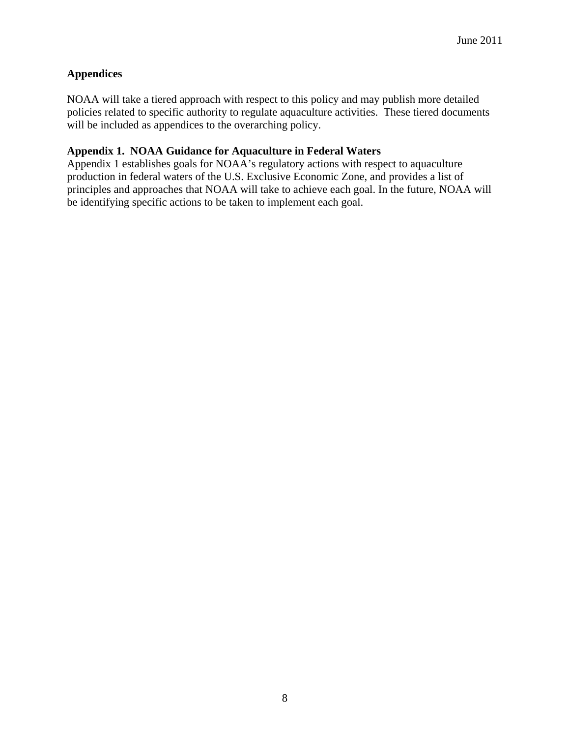# **Appendices**

NOAA will take a tiered approach with respect to this policy and may publish more detailed policies related to specific authority to regulate aquaculture activities. These tiered documents will be included as appendices to the overarching policy.

## **Appendix 1. NOAA Guidance for Aquaculture in Federal Waters**

Appendix 1 establishes goals for NOAA's regulatory actions with respect to aquaculture production in federal waters of the U.S. Exclusive Economic Zone, and provides a list of principles and approaches that NOAA will take to achieve each goal. In the future, NOAA will be identifying specific actions to be taken to implement each goal.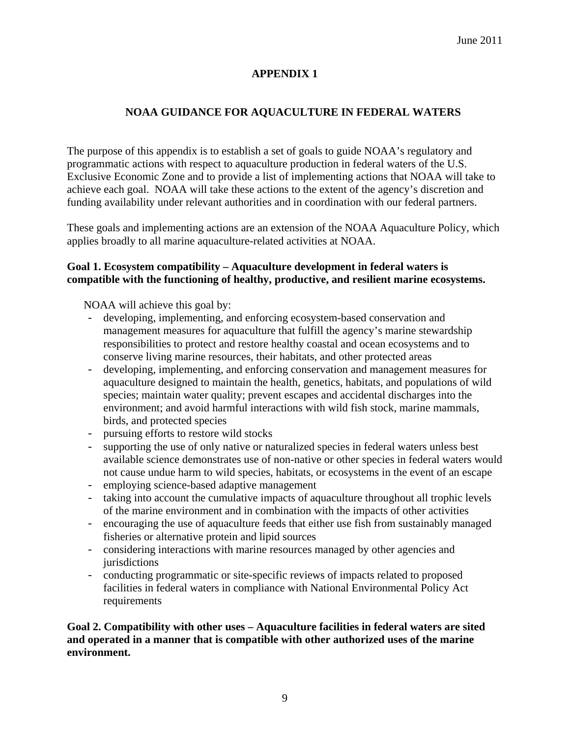# **APPENDIX 1**

# **NOAA GUIDANCE FOR AQUACULTURE IN FEDERAL WATERS**

The purpose of this appendix is to establish a set of goals to guide NOAA's regulatory and programmatic actions with respect to aquaculture production in federal waters of the U.S. Exclusive Economic Zone and to provide a list of implementing actions that NOAA will take to achieve each goal. NOAA will take these actions to the extent of the agency's discretion and funding availability under relevant authorities and in coordination with our federal partners.

These goals and implementing actions are an extension of the NOAA Aquaculture Policy, which applies broadly to all marine aquaculture-related activities at NOAA.

### **Goal 1. Ecosystem compatibility – Aquaculture development in federal waters is compatible with the functioning of healthy, productive, and resilient marine ecosystems.**

NOAA will achieve this goal by:

- developing, implementing, and enforcing ecosystem-based conservation and management measures for aquaculture that fulfill the agency's marine stewardship responsibilities to protect and restore healthy coastal and ocean ecosystems and to conserve living marine resources, their habitats, and other protected areas
- developing, implementing, and enforcing conservation and management measures for aquaculture designed to maintain the health, genetics, habitats, and populations of wild species; maintain water quality; prevent escapes and accidental discharges into the environment; and avoid harmful interactions with wild fish stock, marine mammals, birds, and protected species
- pursuing efforts to restore wild stocks
- supporting the use of only native or naturalized species in federal waters unless best available science demonstrates use of non-native or other species in federal waters would not cause undue harm to wild species, habitats, or ecosystems in the event of an escape
- employing science-based adaptive management
- taking into account the cumulative impacts of aquaculture throughout all trophic levels of the marine environment and in combination with the impacts of other activities
- encouraging the use of aquaculture feeds that either use fish from sustainably managed fisheries or alternative protein and lipid sources
- considering interactions with marine resources managed by other agencies and *iurisdictions*
- conducting programmatic or site-specific reviews of impacts related to proposed facilities in federal waters in compliance with National Environmental Policy Act requirements

## **Goal 2. Compatibility with other uses – Aquaculture facilities in federal waters are sited and operated in a manner that is compatible with other authorized uses of the marine environment.**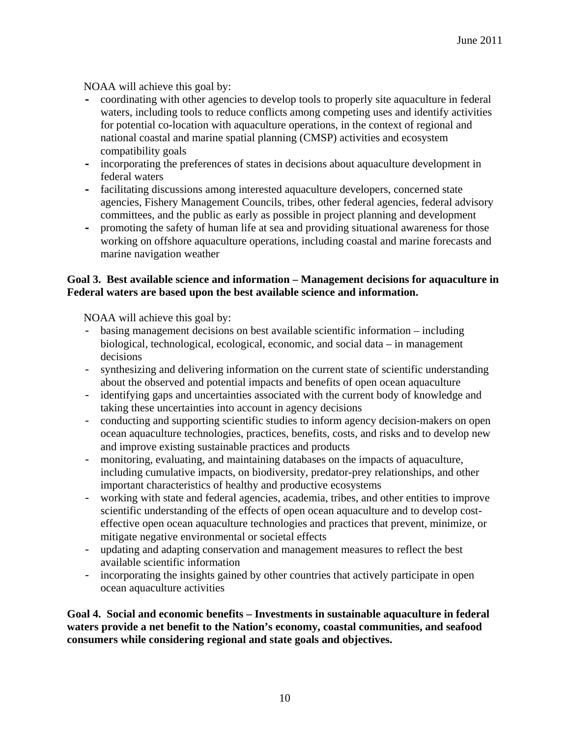NOAA will achieve this goal by:

- **-** coordinating with other agencies to develop tools to properly site aquaculture in federal waters, including tools to reduce conflicts among competing uses and identify activities for potential co-location with aquaculture operations, in the context of regional and national coastal and marine spatial planning (CMSP) activities and ecosystem compatibility goals
- **-** incorporating the preferences of states in decisions about aquaculture development in federal waters
- **-** facilitating discussions among interested aquaculture developers, concerned state agencies, Fishery Management Councils, tribes, other federal agencies, federal advisory committees, and the public as early as possible in project planning and development
- **-** promoting the safety of human life at sea and providing situational awareness for those working on offshore aquaculture operations, including coastal and marine forecasts and marine navigation weather

## **Goal 3. Best available science and information – Management decisions for aquaculture in Federal waters are based upon the best available science and information.**

NOAA will achieve this goal by:

- basing management decisions on best available scientific information including biological, technological, ecological, economic, and social data – in management decisions
- synthesizing and delivering information on the current state of scientific understanding about the observed and potential impacts and benefits of open ocean aquaculture
- identifying gaps and uncertainties associated with the current body of knowledge and taking these uncertainties into account in agency decisions
- conducting and supporting scientific studies to inform agency decision-makers on open ocean aquaculture technologies, practices, benefits, costs, and risks and to develop new and improve existing sustainable practices and products
- monitoring, evaluating, and maintaining databases on the impacts of aquaculture, including cumulative impacts, on biodiversity, predator-prey relationships, and other important characteristics of healthy and productive ecosystems
- working with state and federal agencies, academia, tribes, and other entities to improve scientific understanding of the effects of open ocean aquaculture and to develop costeffective open ocean aquaculture technologies and practices that prevent, minimize, or mitigate negative environmental or societal effects
- updating and adapting conservation and management measures to reflect the best available scientific information
- incorporating the insights gained by other countries that actively participate in open ocean aquaculture activities

**Goal 4. Social and economic benefits – Investments in sustainable aquaculture in federal waters provide a net benefit to the Nation's economy, coastal communities, and seafood consumers while considering regional and state goals and objectives.**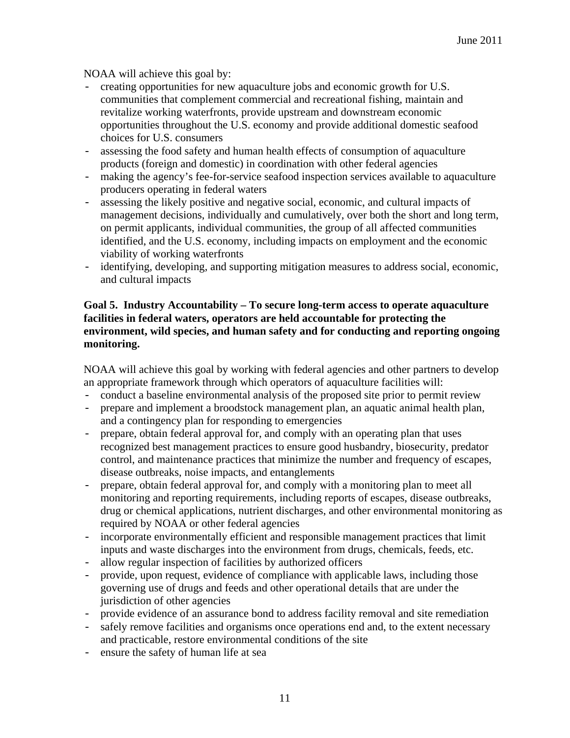NOAA will achieve this goal by:

- creating opportunities for new aquaculture jobs and economic growth for U.S. communities that complement commercial and recreational fishing, maintain and revitalize working waterfronts, provide upstream and downstream economic opportunities throughout the U.S. economy and provide additional domestic seafood choices for U.S. consumers
- assessing the food safety and human health effects of consumption of aquaculture products (foreign and domestic) in coordination with other federal agencies
- making the agency's fee-for-service seafood inspection services available to aquaculture producers operating in federal waters
- assessing the likely positive and negative social, economic, and cultural impacts of management decisions, individually and cumulatively, over both the short and long term, on permit applicants, individual communities, the group of all affected communities identified, and the U.S. economy, including impacts on employment and the economic viability of working waterfronts
- identifying, developing, and supporting mitigation measures to address social, economic, and cultural impacts

## **Goal 5. Industry Accountability – To secure long-term access to operate aquaculture facilities in federal waters, operators are held accountable for protecting the environment, wild species, and human safety and for conducting and reporting ongoing monitoring.**

NOAA will achieve this goal by working with federal agencies and other partners to develop an appropriate framework through which operators of aquaculture facilities will:

- conduct a baseline environmental analysis of the proposed site prior to permit review
- prepare and implement a broodstock management plan, an aquatic animal health plan, and a contingency plan for responding to emergencies
- prepare, obtain federal approval for, and comply with an operating plan that uses recognized best management practices to ensure good husbandry, biosecurity, predator control, and maintenance practices that minimize the number and frequency of escapes, disease outbreaks, noise impacts, and entanglements
- prepare, obtain federal approval for, and comply with a monitoring plan to meet all monitoring and reporting requirements, including reports of escapes, disease outbreaks, drug or chemical applications, nutrient discharges, and other environmental monitoring as required by NOAA or other federal agencies
- incorporate environmentally efficient and responsible management practices that limit inputs and waste discharges into the environment from drugs, chemicals, feeds, etc.
- allow regular inspection of facilities by authorized officers
- provide, upon request, evidence of compliance with applicable laws, including those governing use of drugs and feeds and other operational details that are under the jurisdiction of other agencies
- provide evidence of an assurance bond to address facility removal and site remediation
- safely remove facilities and organisms once operations end and, to the extent necessary and practicable, restore environmental conditions of the site
- ensure the safety of human life at sea